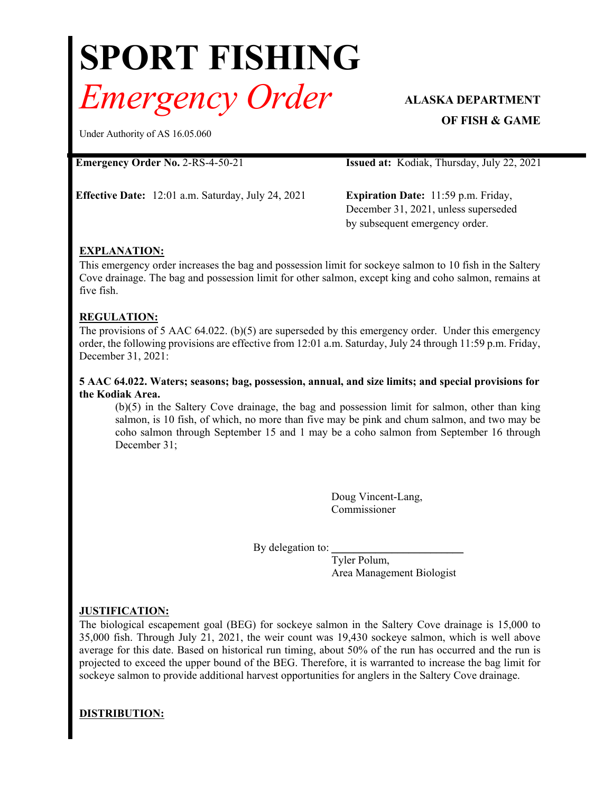# **SPORT FISHING** *Emergency Order* **ALASKA DEPARTMENT**

**OF FISH & GAME**

Under Authority of AS 16.05.060

**Emergency Order No.** 2-RS-4-50-21 **Issued at:** Kodiak, Thursday, July 22, 2021

**Effective Date:** 12:01 a.m. Saturday, July 24, 2021 **Expiration Date:** 11:59 p.m. Friday,

December 31, 2021, unless superseded by subsequent emergency order.

# **EXPLANATION:**

This emergency order increases the bag and possession limit for sockeye salmon to 10 fish in the Saltery Cove drainage. The bag and possession limit for other salmon, except king and coho salmon, remains at five fish.

# **REGULATION:**

The provisions of 5 AAC 64.022. (b)(5) are superseded by this emergency order. Under this emergency order, the following provisions are effective from 12:01 a.m. Saturday, July 24 through 11:59 p.m. Friday, December 31, 2021:

### **5 AAC 64.022. Waters; seasons; bag, possession, annual, and size limits; and special provisions for the Kodiak Area.**

(b)(5) in the Saltery Cove drainage, the bag and possession limit for salmon, other than king salmon, is 10 fish, of which, no more than five may be pink and chum salmon, and two may be coho salmon through September 15 and 1 may be a coho salmon from September 16 through December 31;

> Doug Vincent-Lang, Commissioner

By delegation to:

Tyler Polum, Area Management Biologist

## **JUSTIFICATION:**

The biological escapement goal (BEG) for sockeye salmon in the Saltery Cove drainage is 15,000 to 35,000 fish. Through July 21, 2021, the weir count was 19,430 sockeye salmon, which is well above average for this date. Based on historical run timing, about 50% of the run has occurred and the run is projected to exceed the upper bound of the BEG. Therefore, it is warranted to increase the bag limit for sockeye salmon to provide additional harvest opportunities for anglers in the Saltery Cove drainage.

# **DISTRIBUTION:**